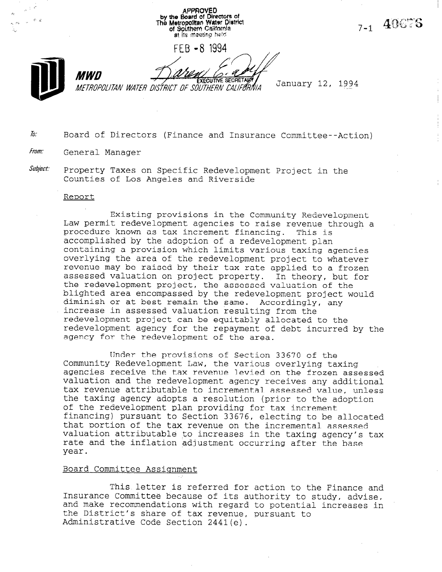APPROVED<br>by the Board of Directors of<br>The Metropolitan Water District 7-1 40676 of Southern California at its meeting held FEB -8 1994 **MWN EXECUTIVE SECRETARY** January 12, 1994 METROPOLITAN WATER DISTRICT OF SÕUTHERN CALIFORNIA

# $\bar{a}$ . Board of Directors (Finance and Insurance Committee--Action)

## From: General Manager

Subject: Property Taxes on Specific Redevelopment Project in the Counties of Los Angeles and Riverside

#### Report

Existing provisions in the Community Redevelopment Law permit redevelopment agencies to raise revenue through a procedure known as tax increment financing. This is accomplished by the adoption of a redevelopment plan containing a provision which limits various taxing agencies overlying the area of the redevelopment project to whatever revenue may be raised by their tax rate applied to a frozen assessed valuation on project property. In theory, but for the redevelopment project, the assessed valuation of the blighted area encompassed by the redevelopment project would diminish or at best remain the same. Accordingly, any increase in assessed valuation resulting from the redevelopment project can be equitably allocated to the redevelopment agency for the repayment of debt incurred by the agency for the redevelopment of the area.

Under the provisions of Section 33670 of the UNDEL CHE PROVISIONS OF SECTION 33070 OF CHE<br>Community Podovolopment Law, the various everlying taxi community redeveropment haw, the various overlying taxing valuation and the redevelopment agency receives any additional tax revenue attributable to incremental assessed value, unless tax revenue attributable to incremental assessed value, unless the taxing agency adopts a resolution (prior to the adoption<br>of the redevelopment plan providing for tax increment financing) pursuant to Section 33676, electing to be allocated that portion of the tax necesses on the including to be alloc valuation attributable to increases in the taxing agency's tax valuation attiputable to increases in the taxing agency s rate and the inflation adjustment occurring after the base year.

### Board Committee Assiqnment

This letter is referred for action to the Finance and Inis letter is referred for action to the Finance and its authority of  $\tilde{a}$ Insurance Committee because of its authority to study, advise, and make recommendations with regard to potential increases in the District's share of tax revenue, pursuant to<br>Administrative Code Section 2441(e).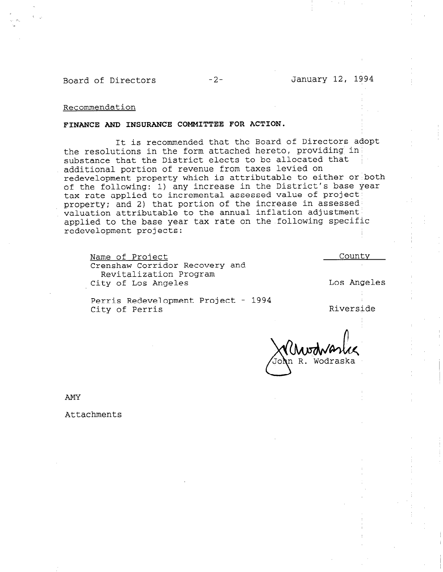Recommendation

### FINANCE AND INSURANCE COMMITTEE FOR ACTION.

It is recommended that the Board of Directors adopt the resolutions in the form attached hereto, providing in' substance that the District elects to be allocated that additional portion of revenue from taxes levied on redevelopment property which is attributable to either or both of the following: 1) any increase in the District's base year tax rate applied to incremental assessed value of project' property: and 2) that portion of the increase in assessed' valuation attributable to the annual inflation adjustment applied to the base year tax rate on the following specific redevelopment projects:

Name of Project Crenshaw Corridor Recovery and Revitalization Program City of Los Angeles

Los Angeles

County

Perris Redevelopment Project - 1994 refilis Nedevelopment floject 1994<br>City of Perris 1997 - Riversi

Wodraska

AMY

Attachments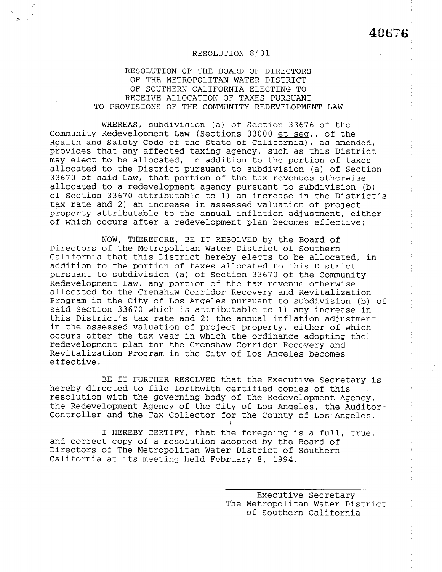## RESOLUTION 8431

RESOLUTION OF THE BOARD OF DIRECTORS OF THE METROPOLITAN WATER DISTRICT OF SOUTHERN CALIFORNIA ELECTING TO RECEIVE ALLOCATION OF TAXES PURSUANT TO PROVISIONS OF THE COMMUNITY REDEVELOPMENT LAW

WHEREAS, subdivision (a) of Section 33676 of the Community Redevelopment Law (Sections 33000 et seq., of the Health and Safety Code of the State of California), as amended, provides that any affected taxing agency, such as this District may elect to be allocated, in addition to the portion of taxes allocated to the District pursuant to subdivision (a) of Section 33670 of said Law, that portion of the tax revenues otherwise allocated to a redevelopment agency pursuant to subdivision (b) of Section 33670 attributable to 1) an increase in the District's tax rate and 2) an increase in assessed valuation of project property attributable to the annual inflation adjustment, either of which occurs after a redevelopment plan becomes effective:;

NOW, THEREFORE, BE IT RESOLVED by the Board of Directors of The Metropolitan Water District of Southern California that this District hereby elects to be allocated, in addition to the portion of taxes allocated to this District : pursuant to subdivision (a) of Section 33670 of the Community Redevelopment Law, any portion of the tax revenue otherwise allocated to the Crenshaw Corridor Recovery and Revitalization Program in the City of Los Angeles pursuant to subdivision (b) of said Section 33670 which is attributable to 1) any increase in this District's tax rate and 2) the annual inflation adjustment in the assessed valuation of project property, either of which occurs after the tax year in which the ordinance adopting the redevelopment plan for the Crenshaw Corridor Recovery and Revitalization Program in the City of Los Angeles becomes effective.

BE IT FURTHER RESOLVED that the Executive Secretary is hereby directed to file forthwith certified copies of this resolution with the governing body of the Redevelopment Agency, the Redevelopment Agency of the City of Los Angeles, the Redevelopment Agency the Redevelopment Agency of the City of Los Angeles, the Auditor-<br>Controller and the Tax Collector for the County of Los Angeles.

I HEREBY CERTIFY, that the foregoing is a full, true, and control control control control companies distribution and by the Board of a resolution and by the Board o and correct copy of a resolution adopted by the Board of Directors of The Metropolitan Water District of Southern<br>California at its meeting held February 8, 1994.

> $\Gamma$ EXECULIVE SECTETATY The Metropolitan Water District<br>of Southern California